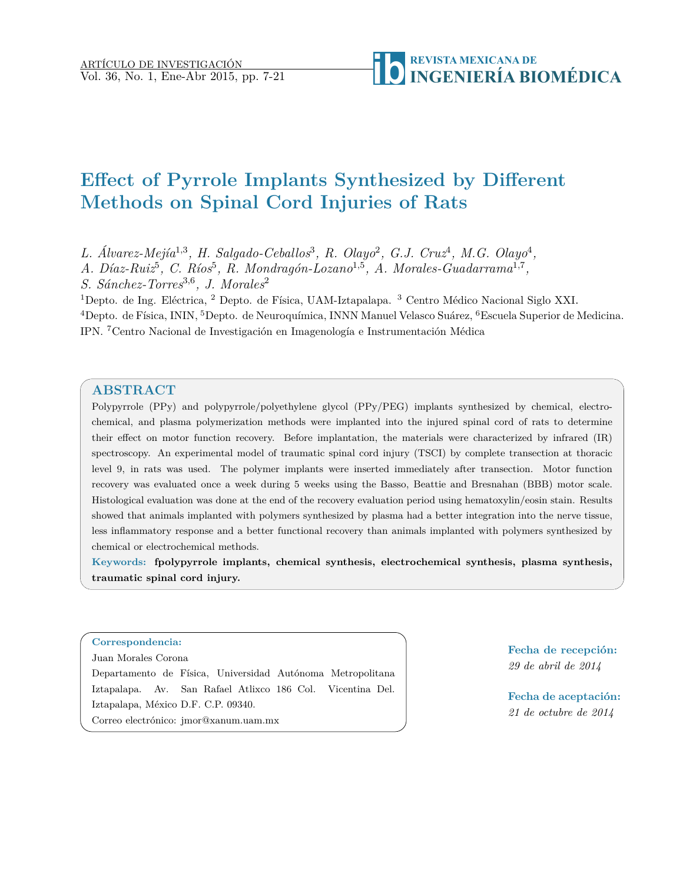# **Effect of Pyrrole Implants Synthesized by Different Methods on Spinal Cord Injuries of Rats**

L. Álvarez-Mejía<sup>1,3</sup>, H. Salgado-Ceballos<sup>3</sup>, R. Olayo<sup>2</sup>, G.J. Cruz<sup>4</sup>, M.G. Olayo<sup>4</sup>,

*A. Díaz-Ruiz*<sup>5</sup>, *C. Ríos*<sup>5</sup>, *R. Mondragón-Lozano*<sup>1,5</sup>, *A. Morales-Guadarrama*<sup>1,7</sup>,

*S. Sánchez-Torres*<sup>3</sup>*,*<sup>6</sup> *, J. Morales*<sup>2</sup>

<sup>1</sup>Depto. de Ing. Eléctrica, <sup>2</sup> Depto. de Física, UAM-Iztapalapa. <sup>3</sup> Centro Médico Nacional Siglo XXI. <sup>4</sup>Depto. de Física, ININ, <sup>5</sup>Depto. de Neuroquímica, INNN Manuel Velasco Suárez, <sup>6</sup>Escuela Superior de Medicina. IPN. <sup>7</sup>Centro Nacional de Investigación en Imagenología e Instrumentación Médica

# **ABSTRACT**

Polypyrrole (PPy) and polypyrrole/polyethylene glycol (PPy/PEG) implants synthesized by chemical, electrochemical, and plasma polymerization methods were implanted into the injured spinal cord of rats to determine their effect on motor function recovery. Before implantation, the materials were characterized by infrared (IR) spectroscopy. An experimental model of traumatic spinal cord injury (TSCI) by complete transection at thoracic level 9, in rats was used. The polymer implants were inserted immediately after transection. Motor function recovery was evaluated once a week during 5 weeks using the Basso, Beattie and Bresnahan (BBB) motor scale. Histological evaluation was done at the end of the recovery evaluation period using hematoxylin/eosin stain. Results showed that animals implanted with polymers synthesized by plasma had a better integration into the nerve tissue, less inflammatory response and a better functional recovery than animals implanted with polymers synthesized by chemical or electrochemical methods.

**Keywords: fpolypyrrole implants, chemical synthesis, electrochemical synthesis, plasma synthesis, traumatic spinal cord injury.**

#### **Correspondencia:**

Juan Morales Corona

Departamento de Física, Universidad Autónoma Metropolitana Iztapalapa. Av. San Rafael Atlixco 186 Col. Vicentina Del. Iztapalapa, México D.F. C.P. 09340. Correo electrónico: jmor@xanum.uam.mx

**Fecha de recepción:** *29 de abril de 2014*

**Fecha de aceptación:** *21 de octubre de 2014*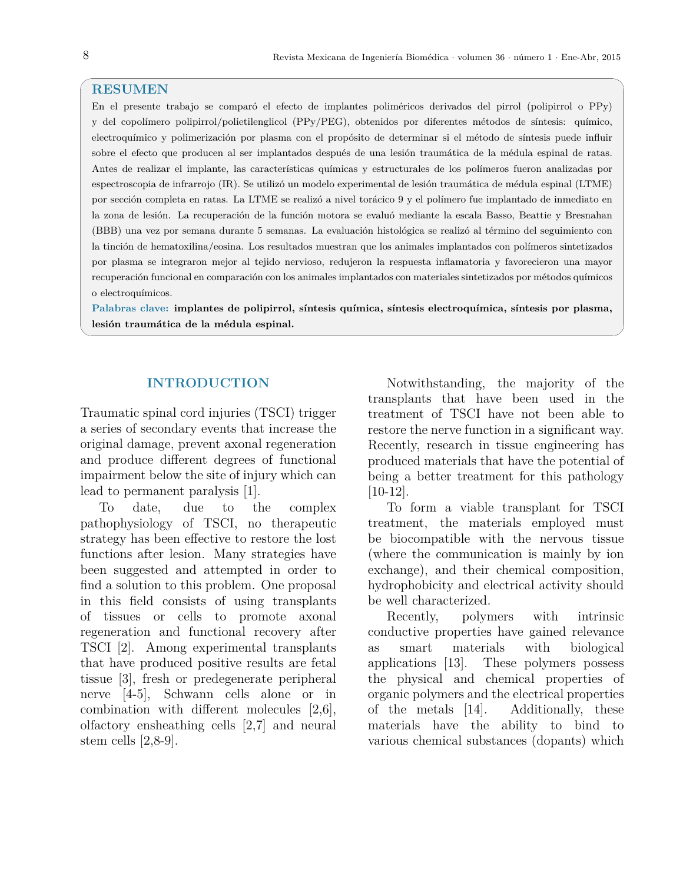#### **RESUMEN**

En el presente trabajo se comparó el efecto de implantes poliméricos derivados del pirrol (polipirrol o PPy) y del copolímero polipirrol/polietilenglicol (PPy/PEG), obtenidos por diferentes métodos de síntesis: químico, electroquímico y polimerización por plasma con el propósito de determinar si el método de síntesis puede influir sobre el efecto que producen al ser implantados después de una lesión traumática de la médula espinal de ratas. Antes de realizar el implante, las características químicas y estructurales de los polímeros fueron analizadas por espectroscopia de infrarrojo (IR). Se utilizó un modelo experimental de lesión traumática de médula espinal (LTME) por sección completa en ratas. La LTME se realizó a nivel torácico 9 y el polímero fue implantado de inmediato en la zona de lesión. La recuperación de la función motora se evaluó mediante la escala Basso, Beattie y Bresnahan (BBB) una vez por semana durante 5 semanas. La evaluación histológica se realizó al término del seguimiento con la tinción de hematoxilina/eosina. Los resultados muestran que los animales implantados con polímeros sintetizados por plasma se integraron mejor al tejido nervioso, redujeron la respuesta inflamatoria y favorecieron una mayor recuperación funcional en comparación con los animales implantados con materiales sintetizados por métodos químicos o electroquímicos.

**Palabras clave: implantes de polipirrol, síntesis química, síntesis electroquímica, síntesis por plasma, lesión traumática de la médula espinal.**

## **INTRODUCTION**

Traumatic spinal cord injuries (TSCI) trigger a series of secondary events that increase the original damage, prevent axonal regeneration and produce different degrees of functional impairment below the site of injury which can lead to permanent paralysis [1].

To date, due to the complex pathophysiology of TSCI, no therapeutic strategy has been effective to restore the lost functions after lesion. Many strategies have been suggested and attempted in order to find a solution to this problem. One proposal in this field consists of using transplants of tissues or cells to promote axonal regeneration and functional recovery after TSCI [2]. Among experimental transplants that have produced positive results are fetal tissue [3], fresh or predegenerate peripheral nerve [4-5], Schwann cells alone or in combination with different molecules [2,6], olfactory ensheathing cells [2,7] and neural stem cells [2,8-9].

Notwithstanding, the majority of the transplants that have been used in the treatment of TSCI have not been able to restore the nerve function in a significant way. Recently, research in tissue engineering has produced materials that have the potential of being a better treatment for this pathology [10-12].

To form a viable transplant for TSCI treatment, the materials employed must be biocompatible with the nervous tissue (where the communication is mainly by ion exchange), and their chemical composition, hydrophobicity and electrical activity should be well characterized.

Recently, polymers with intrinsic conductive properties have gained relevance as smart materials with biological applications [13]. These polymers possess the physical and chemical properties of organic polymers and the electrical properties of the metals [14]. Additionally, these materials have the ability to bind to various chemical substances (dopants) which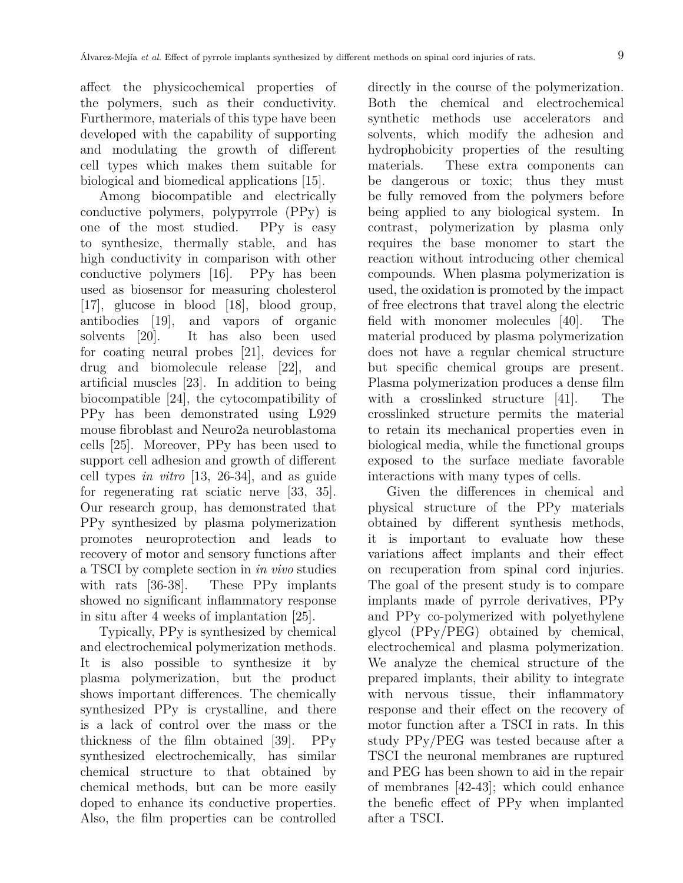affect the physicochemical properties of the polymers, such as their conductivity. Furthermore, materials of this type have been developed with the capability of supporting and modulating the growth of different cell types which makes them suitable for biological and biomedical applications [15].

Among biocompatible and electrically conductive polymers, polypyrrole (PPy) is one of the most studied. PPy is easy to synthesize, thermally stable, and has high conductivity in comparison with other conductive polymers [16]. PPy has been used as biosensor for measuring cholesterol [17], glucose in blood [18], blood group, antibodies [19], and vapors of organic solvents [20]. It has also been used for coating neural probes [21], devices for drug and biomolecule release [22], and artificial muscles [23]. In addition to being biocompatible [24], the cytocompatibility of PPy has been demonstrated using L929 mouse fibroblast and Neuro2a neuroblastoma cells [25]. Moreover, PPy has been used to support cell adhesion and growth of different cell types *in vitro* [13, 26-34], and as guide for regenerating rat sciatic nerve [33, 35]. Our research group, has demonstrated that PPy synthesized by plasma polymerization promotes neuroprotection and leads to recovery of motor and sensory functions after a TSCI by complete section in *in vivo* studies with rats [36-38]. These PP<sub>y</sub> implants showed no significant inflammatory response in situ after 4 weeks of implantation [25].

Typically, PPy is synthesized by chemical and electrochemical polymerization methods. It is also possible to synthesize it by plasma polymerization, but the product shows important differences. The chemically synthesized PPy is crystalline, and there is a lack of control over the mass or the thickness of the film obtained [39]. PPy synthesized electrochemically, has similar chemical structure to that obtained by chemical methods, but can be more easily doped to enhance its conductive properties. Also, the film properties can be controlled

directly in the course of the polymerization. Both the chemical and electrochemical synthetic methods use accelerators and solvents, which modify the adhesion and hydrophobicity properties of the resulting materials. These extra components can be dangerous or toxic; thus they must be fully removed from the polymers before being applied to any biological system. In contrast, polymerization by plasma only requires the base monomer to start the reaction without introducing other chemical compounds. When plasma polymerization is used, the oxidation is promoted by the impact of free electrons that travel along the electric field with monomer molecules [40]. The material produced by plasma polymerization does not have a regular chemical structure but specific chemical groups are present. Plasma polymerization produces a dense film with a crosslinked structure [41]. The crosslinked structure permits the material to retain its mechanical properties even in biological media, while the functional groups exposed to the surface mediate favorable interactions with many types of cells.

Given the differences in chemical and physical structure of the PPy materials obtained by different synthesis methods, it is important to evaluate how these variations affect implants and their effect on recuperation from spinal cord injuries. The goal of the present study is to compare implants made of pyrrole derivatives, PPy and PPy co-polymerized with polyethylene glycol (PPy/PEG) obtained by chemical, electrochemical and plasma polymerization. We analyze the chemical structure of the prepared implants, their ability to integrate with nervous tissue, their inflammatory response and their effect on the recovery of motor function after a TSCI in rats. In this study PPy/PEG was tested because after a TSCI the neuronal membranes are ruptured and PEG has been shown to aid in the repair of membranes [42-43]; which could enhance the benefic effect of PPy when implanted after a TSCI.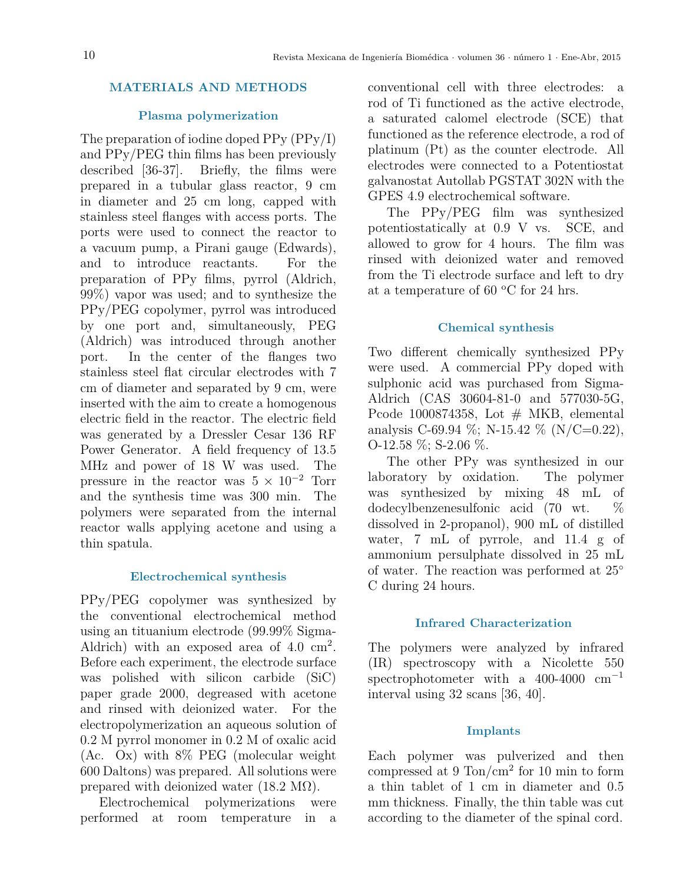# **MATERIALS AND METHODS**

# **Plasma polymerization**

The preparation of iodine doped PPy (PPy/I) and PPy/PEG thin films has been previously described [36-37]. Briefly, the films were prepared in a tubular glass reactor, 9 cm in diameter and 25 cm long, capped with stainless steel flanges with access ports. The ports were used to connect the reactor to a vacuum pump, a Pirani gauge (Edwards), and to introduce reactants. For the preparation of PPy films, pyrrol (Aldrich, 99%) vapor was used; and to synthesize the PPy/PEG copolymer, pyrrol was introduced by one port and, simultaneously, PEG (Aldrich) was introduced through another port. In the center of the flanges two stainless steel flat circular electrodes with 7 cm of diameter and separated by 9 cm, were inserted with the aim to create a homogenous electric field in the reactor. The electric field was generated by a Dressler Cesar 136 RF Power Generator. A field frequency of 13.5 MHz and power of 18 W was used. The pressure in the reactor was  $5 \times 10^{-2}$  Torr and the synthesis time was 300 min. The polymers were separated from the internal reactor walls applying acetone and using a thin spatula.

# **Electrochemical synthesis**

PPy/PEG copolymer was synthesized by the conventional electrochemical method using an tituanium electrode (99.99% Sigma-Aldrich) with an exposed area of  $4.0 \text{ cm}^2$ . Before each experiment, the electrode surface was polished with silicon carbide (SiC) paper grade 2000, degreased with acetone and rinsed with deionized water. For the electropolymerization an aqueous solution of 0.2 M pyrrol monomer in 0.2 M of oxalic acid (Ac. Ox) with 8% PEG (molecular weight 600 Daltons) was prepared. All solutions were prepared with deionized water  $(18.2 \text{ M}\Omega)$ .

Electrochemical polymerizations were performed at room temperature in a

conventional cell with three electrodes: a rod of Ti functioned as the active electrode, a saturated calomel electrode (SCE) that functioned as the reference electrode, a rod of platinum (Pt) as the counter electrode. All electrodes were connected to a Potentiostat galvanostat Autollab PGSTAT 302N with the GPES 4.9 electrochemical software.

The PPy/PEG film was synthesized potentiostatically at 0.9 V vs. SCE, and allowed to grow for 4 hours. The film was rinsed with deionized water and removed from the Ti electrode surface and left to dry at a temperature of 60  $\rm{^{\circ}C}$  for 24 hrs.

# **Chemical synthesis**

Two different chemically synthesized PPy were used. A commercial PPy doped with sulphonic acid was purchased from Sigma-Aldrich (CAS 30604-81-0 and 577030-5G, Pcode 1000874358, Lot  $#$  MKB, elemental analysis C-69.94 %; N-15.42 % (N/C=0.22),  $O-12.58\%; S-2.06\%$ .

The other PPy was synthesized in our laboratory by oxidation. The polymer was synthesized by mixing 48 mL of dodecylbenzenesulfonic acid (70 wt. %) dissolved in 2-propanol), 900 mL of distilled water, 7 mL of pyrrole, and 11.4 g of ammonium persulphate dissolved in 25 mL of water. The reaction was performed at 25◦ C during 24 hours.

# **Infrared Characterization**

The polymers were analyzed by infrared (IR) spectroscopy with a Nicolette 550 spectrophotometer with a 400-4000  $cm^{-1}$ interval using 32 scans [36, 40].

# **Implants**

Each polymer was pulverized and then compressed at  $9 \text{ Ton/cm}^2$  for 10 min to form a thin tablet of 1 cm in diameter and 0.5 mm thickness. Finally, the thin table was cut according to the diameter of the spinal cord.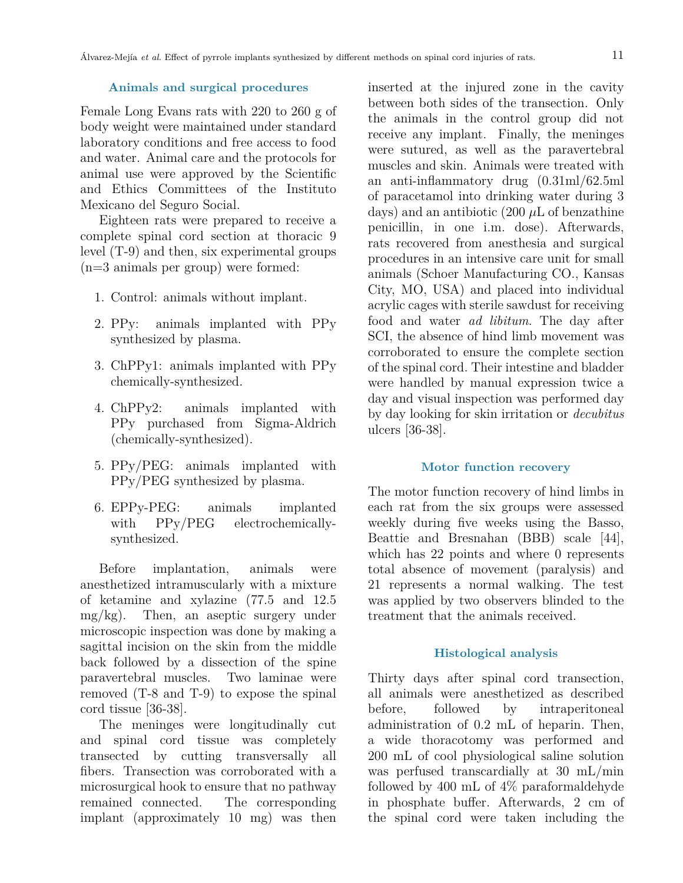#### **Animals and surgical procedures**

Female Long Evans rats with 220 to 260 g of body weight were maintained under standard laboratory conditions and free access to food and water. Animal care and the protocols for animal use were approved by the Scientific and Ethics Committees of the Instituto Mexicano del Seguro Social.

Eighteen rats were prepared to receive a complete spinal cord section at thoracic 9 level (T-9) and then, six experimental groups (n=3 animals per group) were formed:

- 1. Control: animals without implant.
- 2. PPy: animals implanted with PPy synthesized by plasma.
- 3. ChPPy1: animals implanted with PPy chemically-synthesized.
- 4. ChPPy2: animals implanted with PPy purchased from Sigma-Aldrich (chemically-synthesized).
- 5. PPy/PEG: animals implanted with PPy/PEG synthesized by plasma.
- 6. EPPy-PEG: animals implanted with PPy/PEG electrochemicallysynthesized.

Before implantation, animals were anesthetized intramuscularly with a mixture of ketamine and xylazine (77.5 and 12.5 mg/kg). Then, an aseptic surgery under microscopic inspection was done by making a sagittal incision on the skin from the middle back followed by a dissection of the spine paravertebral muscles. Two laminae were removed (T-8 and T-9) to expose the spinal cord tissue [36-38].

The meninges were longitudinally cut and spinal cord tissue was completely transected by cutting transversally all fibers. Transection was corroborated with a microsurgical hook to ensure that no pathway remained connected. The corresponding implant (approximately 10 mg) was then

inserted at the injured zone in the cavity between both sides of the transection. Only the animals in the control group did not receive any implant. Finally, the meninges were sutured, as well as the paravertebral muscles and skin. Animals were treated with an anti-inflammatory drug (0.31ml/62.5ml of paracetamol into drinking water during 3 days) and an antibiotic (200 *µ*L of benzathine penicillin, in one i.m. dose). Afterwards, rats recovered from anesthesia and surgical procedures in an intensive care unit for small animals (Schoer Manufacturing CO., Kansas City, MO, USA) and placed into individual acrylic cages with sterile sawdust for receiving food and water *ad libitum*. The day after SCI, the absence of hind limb movement was corroborated to ensure the complete section of the spinal cord. Their intestine and bladder were handled by manual expression twice a day and visual inspection was performed day by day looking for skin irritation or *decubitus* ulcers [36-38].

## **Motor function recovery**

The motor function recovery of hind limbs in each rat from the six groups were assessed weekly during five weeks using the Basso, Beattie and Bresnahan (BBB) scale [44], which has 22 points and where 0 represents total absence of movement (paralysis) and 21 represents a normal walking. The test was applied by two observers blinded to the treatment that the animals received.

#### **Histological analysis**

Thirty days after spinal cord transection, all animals were anesthetized as described before, followed by intraperitoneal administration of 0.2 mL of heparin. Then, a wide thoracotomy was performed and 200 mL of cool physiological saline solution was perfused transcardially at 30 mL/min followed by 400 mL of  $4\%$  paraformaldehyde in phosphate buffer. Afterwards, 2 cm of the spinal cord were taken including the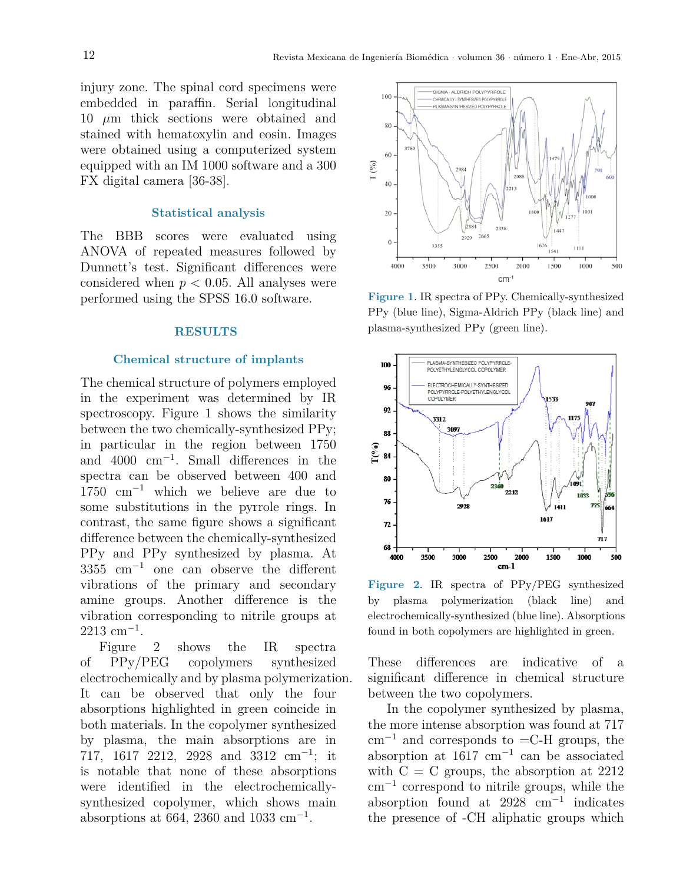injury zone. The spinal cord specimens were embedded in paraffin. Serial longitudinal 10 *µ*m thick sections were obtained and stained with hematoxylin and eosin. Images were obtained using a computerized system equipped with an IM 1000 software and a 300 FX digital camera [36-38].

## **Statistical analysis**

The BBB scores were evaluated using ANOVA of repeated measures followed by Dunnett's test. Significant differences were considered when  $p < 0.05$ . All analyses were performed using the SPSS 16.0 software.

#### **RESULTS**

#### **Chemical structure of implants**

The chemical structure of polymers employed in the experiment was determined by IR spectroscopy. Figure 1 shows the similarity between the two chemically-synthesized PPy; in particular in the region between 1750 and 4000 cm<sup>−</sup><sup>1</sup> . Small differences in the spectra can be observed between 400 and 1750 cm<sup>−</sup><sup>1</sup> which we believe are due to some substitutions in the pyrrole rings. In contrast, the same figure shows a significant difference between the chemically-synthesized PPy and PPy synthesized by plasma. At 3355 cm<sup>−</sup><sup>1</sup> one can observe the different vibrations of the primary and secondary amine groups. Another difference is the vibration corresponding to nitrile groups at 2213 cm<sup>−</sup><sup>1</sup> .

Figure  $2$  shows the IR of PPy/PEG copolymers synthesized electrochemically and by plasma polymerization. It can be observed that only the four absorptions highlighted in green coincide in both materials. In the copolymer synthesized by plasma, the main absorptions are in 717, 1617 2212, 2928 and 3312 cm<sup>-1</sup>; it is notable that none of these absorptions were identified in the electrochemicallysynthesized copolymer, which shows main absorptions at 664, 2360 and 1033 cm<sup>-1</sup>. spectra



Figure 1. IR spectra of PPy. Chemically-synthesized PPy (blue line), Sigma-Aldrich PPy (black line) and PPy (blue line), Sigma-Aldrich PPy (black line) and plasma-synthesized PPy (green line). plasma-synthesized PPy (green line). **Figure 1**. IR spectra of PPy. Chemically-synthesized



the by plasma polymerization (black line) and  $es \text{ at }$  electrochemically-synthesized (blue line). Absorptions **Figure 2**. IR spectra of PPy/PEG synthesized found in both copolymers are highlighted in green.

ization. significant difference in chemical structure four between the two copolymers. These differences are indicative of a

 $\frac{1}{2}$  locale in In the copolymer synthesized by plasma, sized the more intense absorption was found at  $717$ in  $\text{cm}^{-1}$  and corresponds to  $=$ C-H groups, the it absorption at  $1617 \text{ cm}^{-1}$  can be associated with  $C = C$  groups, the absorption at 2212 y-  $\text{cm}^{-1}$  correspond to nitrile groups, while the absorption found at 2928 cm<sup>-1</sup> indicates the presence of -CH aliphatic groups which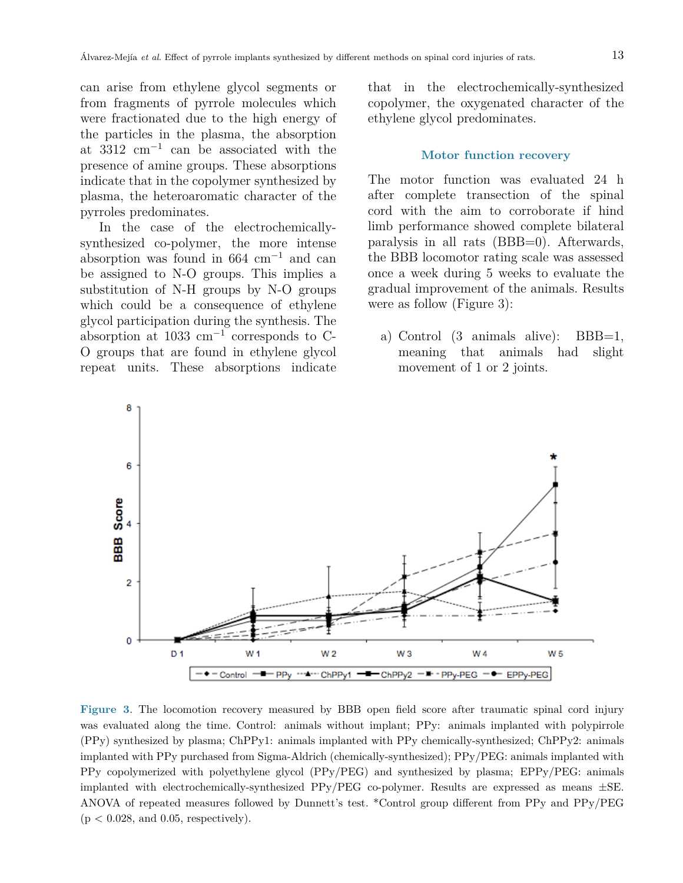can arise from ethylene glycol segments or from fragments of pyrrole molecules which were fractionated due to the high energy of the particles in the plasma, the absorption at 3312 cm<sup>−</sup><sup>1</sup> can be associated with the presence of amine groups. These absorptions indicate that in the copolymer synthesized by plasma, the heteroaromatic character of the pyrroles predominates.

In the case of the electrochemicallysynthesized co-polymer, the more intense  $\qquad$  paralysis in all rats (BBB=0). Afterwal absorption was found in  $664 \text{ cm}^{-1}$  and can absorption was found in 604 cm<br>be assigned to N-O groups. This implies a once a week substitution of N-H groups by N-O groups which could be a consequence of ethylene were as follow (Figure 3): glycol participation during the synthesis. The absorption at 1033 cm<sup>-1</sup> corresponds to C- a) Control (3 animals alive): BBB O groups that are found in ethylene glycol repeat units. These absorptions indicate movement o

that in the electrochemically-synthesized copolymer, the oxygenated character of the ethylene glycol predominates.

#### **Motor function recovery**

The motor function was evaluated 24 h after complete transection of the spinal cord with the aim to corroborate if hind limb performance showed complete bilateral paralysis in all rats (BBB=0). Afterwards, the BBB locomotor rating scale was assessed once a week during 5 weeks to evaluate the gradual improvement of the animals. Results were as follow (Figure 3):

a) Control (3 animals alive): BBB=1, meaning that animals had slight movement of 1 or 2 joints.



was evaluated along the time. Control: animals without implant; PPy: animals implanted with polypirrole (PPy) synthesized by plasma; ChPPy1: animals implanted with PPy chemically-synthesized; ChPPy2: animals PPy copolymerized with polyethylene glycol (PPy/PEG) and synthesized by plasma; EPPy/PEG: animals implanted with electrochemically-synthesized PPy/PEG co-polymer. Results are expressed as means  $\pm$ SE. ANOVA of repeated measures followed by Dunnett's test. \*Control group different from PPy and PPy/PEG  $\mathcal{P}(P) = \mathcal{P}(P)$ **Figure 3**. The locomotion recovery measured by BBB open field score after traumatic spinal cord injury implanted with PPy purchased from Sigma-Aldrich (chemically-synthesized); PPy/PEG: animals implanted with  $(p < 0.028$ , and 0.05, respectively).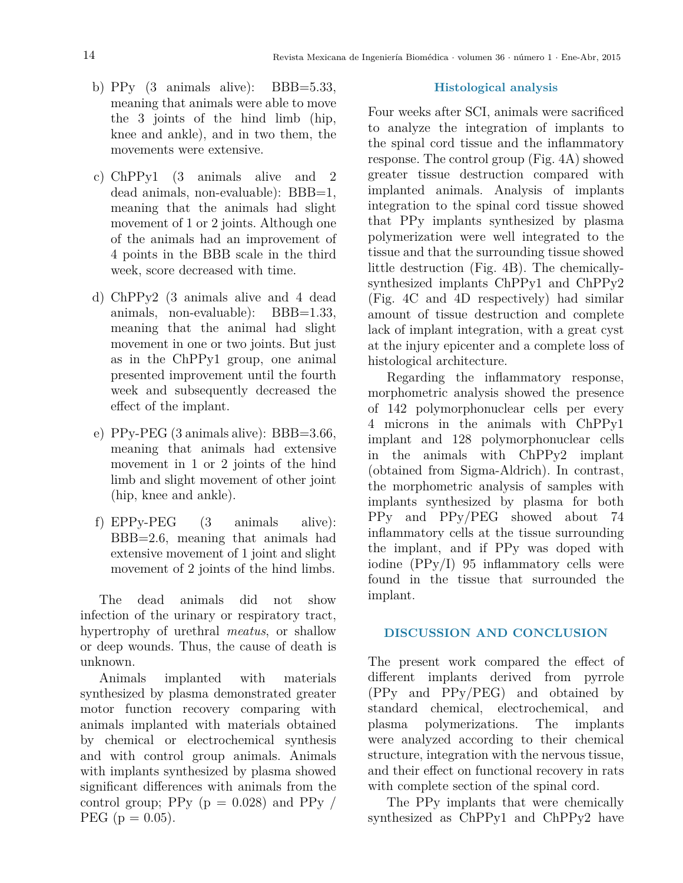- b) PPy  $(3 \text{ animals alive})$ : BBB=5.33, meaning that animals were able to move the 3 joints of the hind limb (hip, knee and ankle), and in two them, the movements were extensive.
- c) ChPPy1 (3 animals alive and 2 dead animals, non-evaluable): BBB=1, meaning that the animals had slight movement of 1 or 2 joints. Although one of the animals had an improvement of 4 points in the BBB scale in the third week, score decreased with time.
- d) ChPPy2 (3 animals alive and 4 dead animals, non-evaluable): BBB=1.33, meaning that the animal had slight movement in one or two joints. But just as in the ChPPy1 group, one animal presented improvement until the fourth week and subsequently decreased the effect of the implant.
- e) PPy-PEG (3 animals alive): BBB=3.66, meaning that animals had extensive movement in 1 or 2 joints of the hind limb and slight movement of other joint (hip, knee and ankle).
- f) EPPy-PEG (3 animals alive): BBB=2.6, meaning that animals had extensive movement of 1 joint and slight movement of 2 joints of the hind limbs.

The dead animals did not show infection of the urinary or respiratory tract, hypertrophy of urethral *meatus*, or shallow or deep wounds. Thus, the cause of death is unknown.

Animals implanted with materials synthesized by plasma demonstrated greater motor function recovery comparing with animals implanted with materials obtained by chemical or electrochemical synthesis and with control group animals. Animals with implants synthesized by plasma showed significant differences with animals from the control group; PPy  $(p = 0.028)$  and PPy / PEG ( $p = 0.05$ ).

## **Histological analysis**

Four weeks after SCI, animals were sacrificed to analyze the integration of implants to the spinal cord tissue and the inflammatory response. The control group (Fig. 4A) showed greater tissue destruction compared with implanted animals. Analysis of implants integration to the spinal cord tissue showed that PPy implants synthesized by plasma polymerization were well integrated to the tissue and that the surrounding tissue showed little destruction (Fig. 4B). The chemicallysynthesized implants ChPPy1 and ChPPy2 (Fig. 4C and 4D respectively) had similar amount of tissue destruction and complete lack of implant integration, with a great cyst at the injury epicenter and a complete loss of histological architecture.

Regarding the inflammatory response, morphometric analysis showed the presence of 142 polymorphonuclear cells per every 4 microns in the animals with ChPPy1 implant and 128 polymorphonuclear cells in the animals with ChPPy2 implant (obtained from Sigma-Aldrich). In contrast, the morphometric analysis of samples with implants synthesized by plasma for both PPy and PPy/PEG showed about 74 inflammatory cells at the tissue surrounding the implant, and if PPy was doped with iodine (PPy/I) 95 inflammatory cells were found in the tissue that surrounded the implant.

## **DISCUSSION AND CONCLUSION**

The present work compared the effect of different implants derived from pyrrole (PPy and PPy/PEG) and obtained by standard chemical, electrochemical, and plasma polymerizations. The implants were analyzed according to their chemical structure, integration with the nervous tissue, and their effect on functional recovery in rats with complete section of the spinal cord.

The PPy implants that were chemically synthesized as ChPPy1 and ChPPy2 have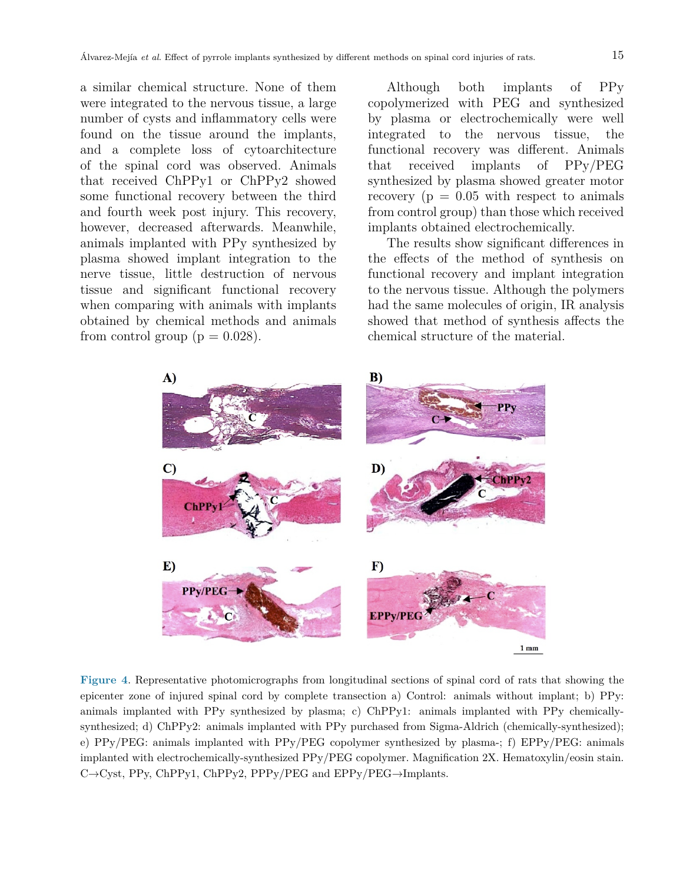a similar chemical structure. None of them were integrated to the nervous tissue, a large number of cysts and inflammatory cells were found on the tissue around the implants, and a complete loss of cytoarchitecture of the spinal cord was observed. Animals that received ChPPy1 or ChPPy2 showed some functional recovery between the third and fourth week post injury. This recovery, however, decreased afterwards. Meanwhile, animals implanted with PPy synthesized by plasma showed implant integration to the nerve tissue, little destruction of nervous tissue and significant functional recovery when comparing with animals with implants obtained by chemical methods and animals from control group ( $p = 0.028$ ).

Although both implants of PPy copolymerized with PEG and synthesized by plasma or electrochemically were well integrated to the nervous tissue, the functional recovery was different. Animals that received implants of PPy/PEG synthesized by plasma showed greater motor recovery ( $p = 0.05$  with respect to animals from control group) than those which received implants obtained electrochemically.

The results show significant differences in the effects of the method of synthesis on functional recovery and implant integration to the nervous tissue. Although the polymers had the same molecules of origin, IR analysis showed that method of synthesis affects the chemical structure of the material.



**Figure 4**. Representative photomicrographs from longitudinal sections of spinal cord of rats that showing the epicenter zone of injured spinal cord by complete transection a) Control: animals without implant; b) PPy: animals implanted with PPy synthesized by plasma; c) ChPPy1: animals implanted with PPy chemicallysynthesized; d) ChPPy2: animals implanted with PPy purchased from Sigma-Aldrich (chemically-synthesized); e) PPy/PEG: animals implanted with PPy/PEG copolymer synthesized by plasma-; f) EPPy/PEG: animals implanted with electrochemically-synthesized PPy/PEG copolymer. Magnification 2X. Hematoxylin/eosin stain. C→Cyst, PPy, ChPPy1, ChPPy2, PPPy/PEG and EPPy/PEG→Implants.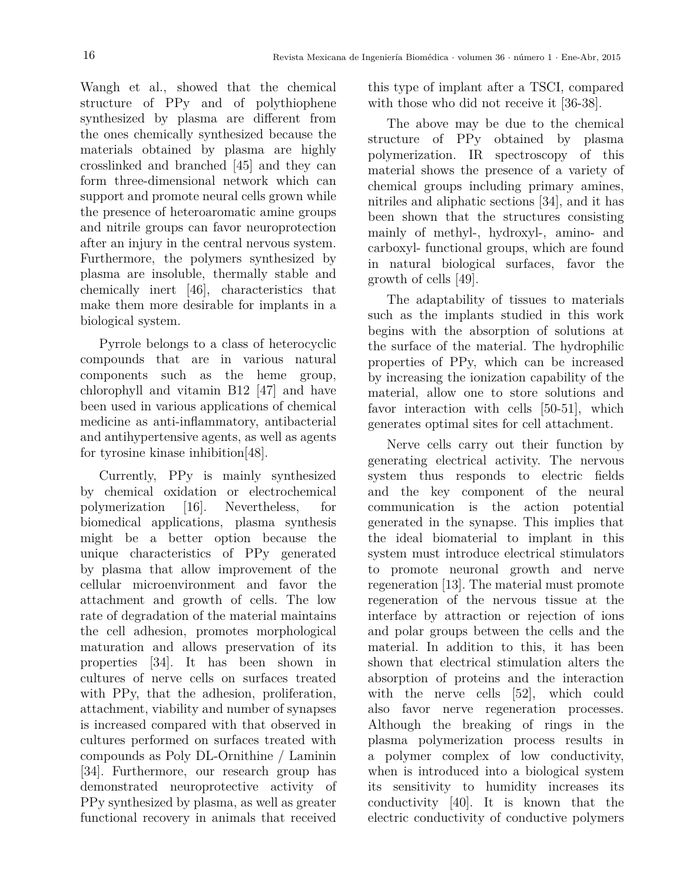Wangh et al., showed that the chemical structure of PPy and of polythiophene synthesized by plasma are different from the ones chemically synthesized because the materials obtained by plasma are highly crosslinked and branched [45] and they can form three-dimensional network which can support and promote neural cells grown while the presence of heteroaromatic amine groups and nitrile groups can favor neuroprotection after an injury in the central nervous system. Furthermore, the polymers synthesized by plasma are insoluble, thermally stable and chemically inert [46], characteristics that make them more desirable for implants in a biological system.

Pyrrole belongs to a class of heterocyclic compounds that are in various natural components such as the heme group, chlorophyll and vitamin B12 [47] and have been used in various applications of chemical medicine as anti-inflammatory, antibacterial and antihypertensive agents, as well as agents for tyrosine kinase inhibition[48].

Currently, PPy is mainly synthesized by chemical oxidation or electrochemical polymerization [16]. Nevertheless, for biomedical applications, plasma synthesis might be a better option because the unique characteristics of PPy generated by plasma that allow improvement of the cellular microenvironment and favor the attachment and growth of cells. The low rate of degradation of the material maintains the cell adhesion, promotes morphological maturation and allows preservation of its properties [34]. It has been shown in cultures of nerve cells on surfaces treated with PPy, that the adhesion, proliferation, attachment, viability and number of synapses is increased compared with that observed in cultures performed on surfaces treated with compounds as Poly DL-Ornithine / Laminin [34]. Furthermore, our research group has demonstrated neuroprotective activity of PPy synthesized by plasma, as well as greater functional recovery in animals that received this type of implant after a TSCI, compared with those who did not receive it [36-38].

The above may be due to the chemical structure of PPy obtained by plasma polymerization. IR spectroscopy of this material shows the presence of a variety of chemical groups including primary amines, nitriles and aliphatic sections [34], and it has been shown that the structures consisting mainly of methyl-, hydroxyl-, amino- and carboxyl- functional groups, which are found in natural biological surfaces, favor the growth of cells [49].

The adaptability of tissues to materials such as the implants studied in this work begins with the absorption of solutions at the surface of the material. The hydrophilic properties of PPy, which can be increased by increasing the ionization capability of the material, allow one to store solutions and favor interaction with cells [50-51], which generates optimal sites for cell attachment.

Nerve cells carry out their function by generating electrical activity. The nervous system thus responds to electric fields and the key component of the neural communication is the action potential generated in the synapse. This implies that the ideal biomaterial to implant in this system must introduce electrical stimulators to promote neuronal growth and nerve regeneration [13]. The material must promote regeneration of the nervous tissue at the interface by attraction or rejection of ions and polar groups between the cells and the material. In addition to this, it has been shown that electrical stimulation alters the absorption of proteins and the interaction with the nerve cells [52], which could also favor nerve regeneration processes. Although the breaking of rings in the plasma polymerization process results in a polymer complex of low conductivity, when is introduced into a biological system its sensitivity to humidity increases its conductivity [40]. It is known that the electric conductivity of conductive polymers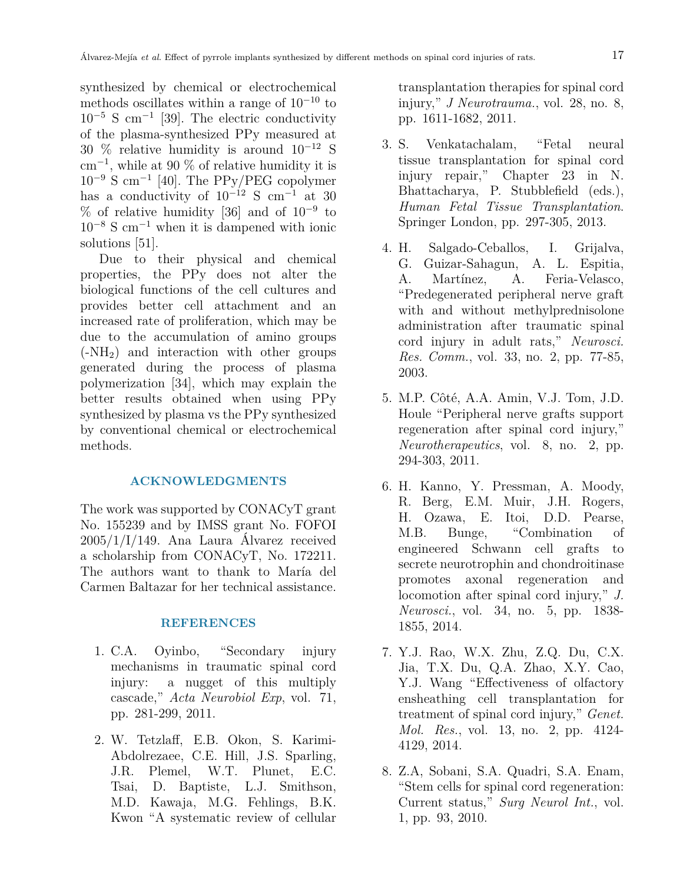synthesized by chemical or electrochemical methods oscillates within a range of  $10^{-10}$  to 10<sup>−</sup><sup>5</sup> S cm<sup>−</sup><sup>1</sup> [39]. The electric conductivity of the plasma-synthesized PPy measured at 30 % relative humidity is around 10<sup>−</sup><sup>12</sup> S cm<sup>−</sup><sup>1</sup> , while at 90 % of relative humidity it is 10<sup>−</sup><sup>9</sup> S cm<sup>−</sup><sup>1</sup> [40]. The PPy/PEG copolymer has a conductivity of  $10^{-12}$  S cm<sup>-1</sup> at 30 % of relative humidity [36] and of  $10^{-9}$  to  $10^{-8}$  S cm<sup>-1</sup> when it is dampened with ionic solutions [51].

Due to their physical and chemical properties, the PPy does not alter the biological functions of the cell cultures and provides better cell attachment and an increased rate of proliferation, which may be due to the accumulation of amino groups (-NH2) and interaction with other groups generated during the process of plasma polymerization [34], which may explain the better results obtained when using PPy synthesized by plasma vs the PPy synthesized by conventional chemical or electrochemical methods.

# **ACKNOWLEDGMENTS**

The work was supported by CONACyT grant No. 155239 and by IMSS grant No. FOFOI 2005/1/I/149. Ana Laura Álvarez received a scholarship from CONACyT, No. 172211. The authors want to thank to María del Carmen Baltazar for her technical assistance.

## **REFERENCES**

- 1. C.A. Oyinbo, "Secondary injury mechanisms in traumatic spinal cord injury: a nugget of this multiply cascade," *Acta Neurobiol Exp*, vol. 71, pp. 281-299, 2011.
- 2. W. Tetzlaff, E.B. Okon, S. Karimi-Abdolrezaee, C.E. Hill, J.S. Sparling, J.R. Plemel, W.T. Plunet, E.C. Tsai, D. Baptiste, L.J. Smithson, M.D. Kawaja, M.G. Fehlings, B.K. Kwon "A systematic review of cellular

transplantation therapies for spinal cord injury," *J Neurotrauma.*, vol. 28, no. 8, pp. 1611-1682, 2011.

- 3. S. Venkatachalam, "Fetal neural tissue transplantation for spinal cord injury repair," Chapter 23 in N. Bhattacharya, P. Stubblefield (eds.), *Human Fetal Tissue Transplantation*. Springer London, pp. 297-305, 2013.
- 4. H. Salgado-Ceballos, I. Grijalva, G. Guizar-Sahagun, A. L. Espitia, A. Martínez, A. Feria-Velasco, "Predegenerated peripheral nerve graft with and without methylprednisolone administration after traumatic spinal cord injury in adult rats," *Neurosci. Res. Comm.*, vol. 33, no. 2, pp. 77-85, 2003.
- 5. M.P. Côté, A.A. Amin, V.J. Tom, J.D. Houle "Peripheral nerve grafts support regeneration after spinal cord injury," *Neurotherapeutics*, vol. 8, no. 2, pp. 294-303, 2011.
- 6. H. Kanno, Y. Pressman, A. Moody, R. Berg, E.M. Muir, J.H. Rogers, H. Ozawa, E. Itoi, D.D. Pearse, M.B. Bunge, "Combination of engineered Schwann cell grafts to secrete neurotrophin and chondroitinase promotes axonal regeneration and locomotion after spinal cord injury," *J. Neurosci.*, vol. 34, no. 5, pp. 1838- 1855, 2014.
- 7. Y.J. Rao, W.X. Zhu, Z.Q. Du, C.X. Jia, T.X. Du, Q.A. Zhao, X.Y. Cao, Y.J. Wang "Effectiveness of olfactory ensheathing cell transplantation for treatment of spinal cord injury," *Genet. Mol. Res.*, vol. 13, no. 2, pp. 4124- 4129, 2014.
- 8. Z.A, Sobani, S.A. Quadri, S.A. Enam, "Stem cells for spinal cord regeneration: Current status," *Surg Neurol Int.*, vol. 1, pp. 93, 2010.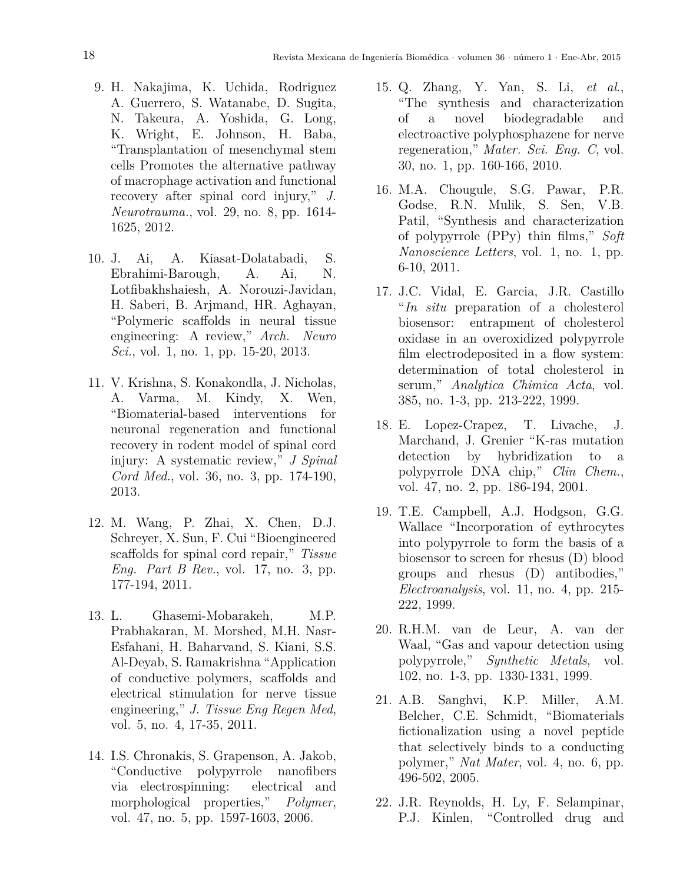- 9. H. Nakajima, K. Uchida, Rodriguez A. Guerrero, S. Watanabe, D. Sugita, N. Takeura, A. Yoshida, G. Long, K. Wright, E. Johnson, H. Baba, "Transplantation of mesenchymal stem cells Promotes the alternative pathway of macrophage activation and functional recovery after spinal cord injury," *J. Neurotrauma.*, vol. 29, no. 8, pp. 1614- 1625, 2012.
- 10. J. Ai, A. Kiasat-Dolatabadi, S. Ebrahimi-Barough, A. Ai, N. Lotfibakhshaiesh, A. Norouzi-Javidan, H. Saberi, B. Arjmand, HR. Aghayan, "Polymeric scaffolds in neural tissue engineering: A review," *Arch. Neuro Sci.*, vol. 1, no. 1, pp. 15-20, 2013.
- 11. V. Krishna, S. Konakondla, J. Nicholas, A. Varma, M. Kindy, X. Wen, "Biomaterial-based interventions for neuronal regeneration and functional recovery in rodent model of spinal cord injury: A systematic review," *J Spinal Cord Med.*, vol. 36, no. 3, pp. 174-190, 2013.
- 12. M. Wang, P. Zhai, X. Chen, D.J. Schreyer, X. Sun, F. Cui "Bioengineered scaffolds for spinal cord repair," *Tissue Eng. Part B Rev.*, vol. 17, no. 3, pp. 177-194, 2011.
- 13. L. Ghasemi-Mobarakeh, M.P. Prabhakaran, M. Morshed, M.H. Nasr-Esfahani, H. Baharvand, S. Kiani, S.S. Al-Deyab, S. Ramakrishna "Application of conductive polymers, scaffolds and electrical stimulation for nerve tissue engineering," *J. Tissue Eng Regen Med*, vol. 5, no. 4, 17-35, 2011.
- 14. I.S. Chronakis, S. Grapenson, A. Jakob, "Conductive polypyrrole nanofibers via electrospinning: electrical and morphological properties," *Polymer*, vol. 47, no. 5, pp. 1597-1603, 2006.
- 15. Q. Zhang, Y. Yan, S. Li, *et al*., "The synthesis and characterization of a novel biodegradable and electroactive polyphosphazene for nerve regeneration," *Mater. Sci. Eng. C*, vol. 30, no. 1, pp. 160-166, 2010.
- 16. M.A. Chougule, S.G. Pawar, P.R. Godse, R.N. Mulik, S. Sen, V.B. Patil, "Synthesis and characterization of polypyrrole (PPy) thin films," *Soft Nanoscience Letters*, vol. 1, no. 1, pp. 6-10, 2011.
- 17. J.C. Vidal, E. Garcia, J.R. Castillo "*In situ* preparation of a cholesterol biosensor: entrapment of cholesterol oxidase in an overoxidized polypyrrole film electrodeposited in a flow system: determination of total cholesterol in serum," *Analytica Chimica Acta*, vol. 385, no. 1-3, pp. 213-222, 1999.
- 18. E. Lopez-Crapez, T. Livache, J. Marchand, J. Grenier "K-ras mutation detection by hybridization to a polypyrrole DNA chip," *Clin Chem.*, vol. 47, no. 2, pp. 186-194, 2001.
- 19. T.E. Campbell, A.J. Hodgson, G.G. Wallace "Incorporation of eythrocytes into polypyrrole to form the basis of a biosensor to screen for rhesus (D) blood groups and rhesus (D) antibodies," *Electroanalysis*, vol. 11, no. 4, pp. 215- 222, 1999.
- 20. R.H.M. van de Leur, A. van der Waal, "Gas and vapour detection using polypyrrole," *Synthetic Metals*, vol. 102, no. 1-3, pp. 1330-1331, 1999.
- 21. A.B. Sanghvi, K.P. Miller, A.M. Belcher, C.E. Schmidt, "Biomaterials fictionalization using a novel peptide that selectively binds to a conducting polymer," *Nat Mater*, vol. 4, no. 6, pp. 496-502, 2005.
- 22. J.R. Reynolds, H. Ly, F. Selampinar, P.J. Kinlen, "Controlled drug and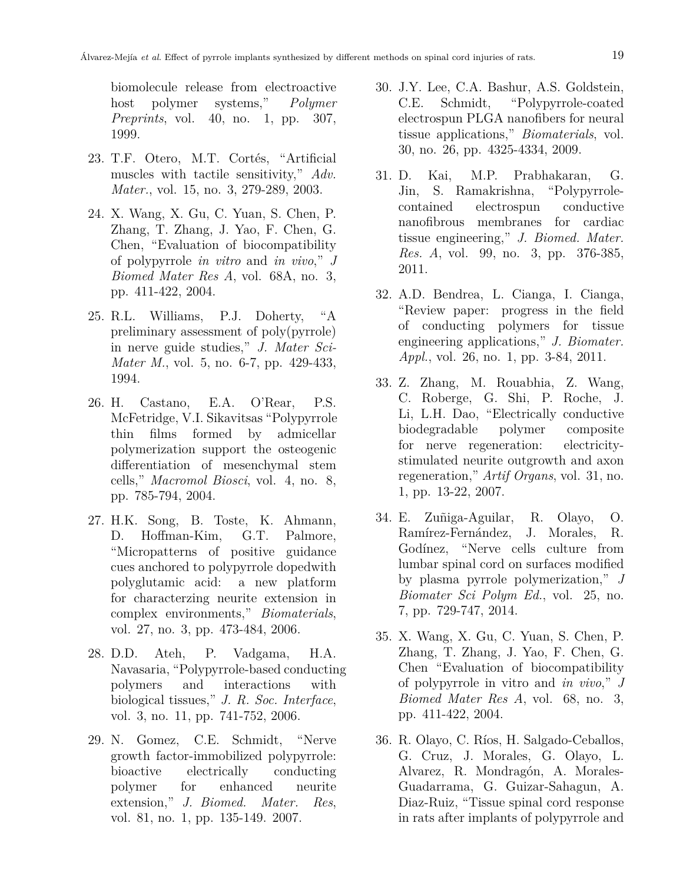biomolecule release from electroactive host polymer systems," *Polymer Preprints*, vol. 40, no. 1, pp. 307, 1999.

- 23. T.F. Otero, M.T. Cortés, "Artificial muscles with tactile sensitivity," *Adv. Mater.*, vol. 15, no. 3, 279-289, 2003.
- 24. X. Wang, X. Gu, C. Yuan, S. Chen, P. Zhang, T. Zhang, J. Yao, F. Chen, G. Chen, "Evaluation of biocompatibility of polypyrrole *in vitro* and *in vivo*," *J Biomed Mater Res A*, vol. 68A, no. 3, pp. 411-422, 2004.
- 25. R.L. Williams, P.J. Doherty, "A preliminary assessment of poly(pyrrole) in nerve guide studies," *J. Mater Sci-Mater M.*, vol. 5, no. 6-7, pp. 429-433, 1994.
- 26. H. Castano, E.A. O'Rear, P.S. McFetridge, V.I. Sikavitsas "Polypyrrole thin films formed by admicellar polymerization support the osteogenic differentiation of mesenchymal stem cells," *Macromol Biosci*, vol. 4, no. 8, pp. 785-794, 2004.
- 27. H.K. Song, B. Toste, K. Ahmann, D. Hoffman-Kim, G.T. Palmore, "Micropatterns of positive guidance cues anchored to polypyrrole dopedwith polyglutamic acid: a new platform for characterzing neurite extension in complex environments," *Biomaterials*, vol. 27, no. 3, pp. 473-484, 2006.
- 28. D.D. Ateh, P. Vadgama, H.A. Navasaria, "Polypyrrole-based conducting polymers and interactions with biological tissues," *J. R. Soc. Interface*, vol. 3, no. 11, pp. 741-752, 2006.
- 29. N. Gomez, C.E. Schmidt, "Nerve growth factor-immobilized polypyrrole: bioactive electrically conducting polymer for enhanced neurite extension," *J. Biomed. Mater. Res*, vol. 81, no. 1, pp. 135-149. 2007.
- 30. J.Y. Lee, C.A. Bashur, A.S. Goldstein, C.E. Schmidt, "Polypyrrole-coated electrospun PLGA nanofibers for neural tissue applications," *Biomaterials*, vol. 30, no. 26, pp. 4325-4334, 2009.
- 31. D. Kai, M.P. Prabhakaran, G. Jin, S. Ramakrishna, "Polypyrrolecontained electrospun conductive nanofibrous membranes for cardiac tissue engineering," *J. Biomed. Mater. Res. A*, vol. 99, no. 3, pp. 376-385, 2011.
- 32. A.D. Bendrea, L. Cianga, I. Cianga, "Review paper: progress in the field of conducting polymers for tissue engineering applications," *J. Biomater. Appl.*, vol. 26, no. 1, pp. 3-84, 2011.
- 33. Z. Zhang, M. Rouabhia, Z. Wang, C. Roberge, G. Shi, P. Roche, J. Li, L.H. Dao, "Electrically conductive biodegradable polymer composite for nerve regeneration: electricitystimulated neurite outgrowth and axon regeneration," *Artif Organs*, vol. 31, no. 1, pp. 13-22, 2007.
- 34. E. Zuñiga-Aguilar, R. Olayo, O. Ramírez-Fernández, J. Morales, R. Godínez, "Nerve cells culture from lumbar spinal cord on surfaces modified by plasma pyrrole polymerization," *J Biomater Sci Polym Ed.*, vol. 25, no. 7, pp. 729-747, 2014.
- 35. X. Wang, X. Gu, C. Yuan, S. Chen, P. Zhang, T. Zhang, J. Yao, F. Chen, G. Chen "Evaluation of biocompatibility of polypyrrole in vitro and *in vivo*," *J Biomed Mater Res A*, vol. 68, no. 3, pp. 411-422, 2004.
- 36. R. Olayo, C. Ríos, H. Salgado-Ceballos, G. Cruz, J. Morales, G. Olayo, L. Alvarez, R. Mondragón, A. Morales-Guadarrama, G. Guizar-Sahagun, A. Diaz-Ruiz, "Tissue spinal cord response in rats after implants of polypyrrole and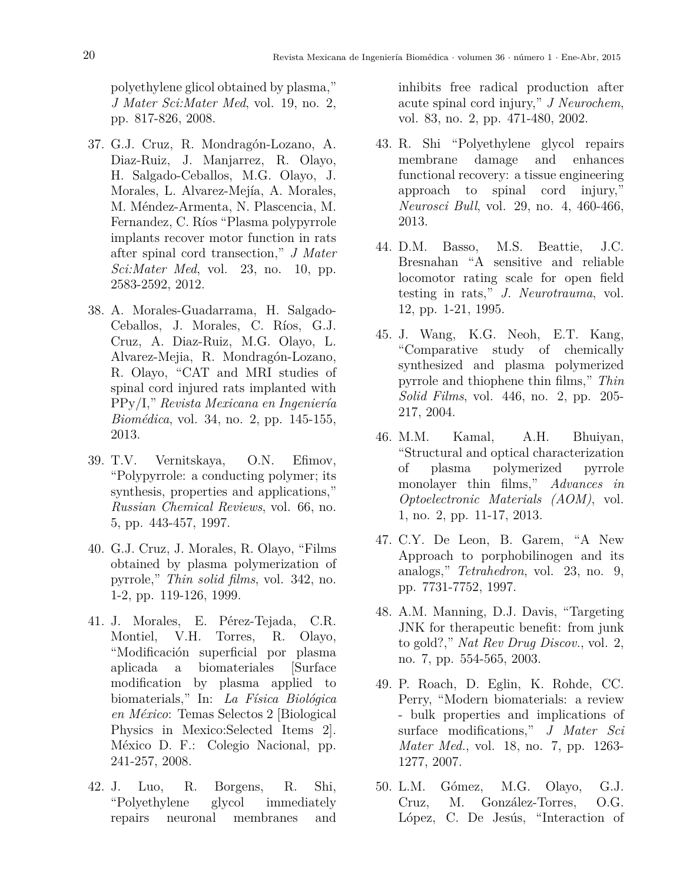polyethylene glicol obtained by plasma," *J Mater Sci:Mater Med*, vol. 19, no. 2, pp. 817-826, 2008.

- 37. G.J. Cruz, R. Mondragón-Lozano, A. Diaz-Ruiz, J. Manjarrez, R. Olayo, H. Salgado-Ceballos, M.G. Olayo, J. Morales, L. Alvarez-Mejía, A. Morales, M. Méndez-Armenta, N. Plascencia, M. Fernandez, C. Ríos "Plasma polypyrrole implants recover motor function in rats after spinal cord transection," *J Mater Sci:Mater Med*, vol. 23, no. 10, pp. 2583-2592, 2012.
- 38. A. Morales-Guadarrama, H. Salgado-Ceballos, J. Morales, C. Ríos, G.J. Cruz, A. Diaz-Ruiz, M.G. Olayo, L. Alvarez-Mejia, R. Mondragón-Lozano, R. Olayo, "CAT and MRI studies of spinal cord injured rats implanted with PPy/I," *Revista Mexicana en Ingeniería Biomédica*, vol. 34, no. 2, pp. 145-155, 2013.
- 39. T.V. Vernitskaya, O.N. Efimov, "Polypyrrole: a conducting polymer; its synthesis, properties and applications," *Russian Chemical Reviews*, vol. 66, no. 5, pp. 443-457, 1997.
- 40. G.J. Cruz, J. Morales, R. Olayo, "Films obtained by plasma polymerization of pyrrole," *Thin solid films*, vol. 342, no. 1-2, pp. 119-126, 1999.
- 41. J. Morales, E. Pérez-Tejada, C.R. Montiel, V.H. Torres, R. Olayo, "Modificación superficial por plasma aplicada a biomateriales [Surface modification by plasma applied to biomaterials," In: *La Física Biológica en México*: Temas Selectos 2 [Biological Physics in Mexico:Selected Items 2]. México D. F.: Colegio Nacional, pp. 241-257, 2008.
- 42. J. Luo, R. Borgens, R. Shi, "Polyethylene glycol immediately repairs neuronal membranes and

inhibits free radical production after acute spinal cord injury," *J Neurochem*, vol. 83, no. 2, pp. 471-480, 2002.

- 43. R. Shi "Polyethylene glycol repairs membrane damage and enhances functional recovery: a tissue engineering approach to spinal cord injury," *Neurosci Bull*, vol. 29, no. 4, 460-466, 2013.
- 44. D.M. Basso, M.S. Beattie, J.C. Bresnahan "A sensitive and reliable locomotor rating scale for open field testing in rats," *J. Neurotrauma*, vol. 12, pp. 1-21, 1995.
- 45. J. Wang, K.G. Neoh, E.T. Kang, "Comparative study of chemically synthesized and plasma polymerized pyrrole and thiophene thin films," *Thin Solid Films*, vol. 446, no. 2, pp. 205- 217, 2004.
- 46. M.M. Kamal, A.H. Bhuiyan, "Structural and optical characterization of plasma polymerized pyrrole monolayer thin films," *Advances in Optoelectronic Materials (AOM)*, vol. 1, no. 2, pp. 11-17, 2013.
- 47. C.Y. De Leon, B. Garem, "A New Approach to porphobilinogen and its analogs," *Tetrahedron*, vol. 23, no. 9, pp. 7731-7752, 1997.
- 48. A.M. Manning, D.J. Davis, "Targeting JNK for therapeutic benefit: from junk to gold?," *Nat Rev Drug Discov.*, vol. 2, no. 7, pp. 554-565, 2003.
- 49. P. Roach, D. Eglin, K. Rohde, CC. Perry, "Modern biomaterials: a review - bulk properties and implications of surface modifications," *J Mater Sci Mater Med.*, vol. 18, no. 7, pp. 1263- 1277, 2007.
- 50. L.M. Gómez, M.G. Olayo, G.J. Cruz, M. González-Torres, O.G. López, C. De Jesús, "Interaction of